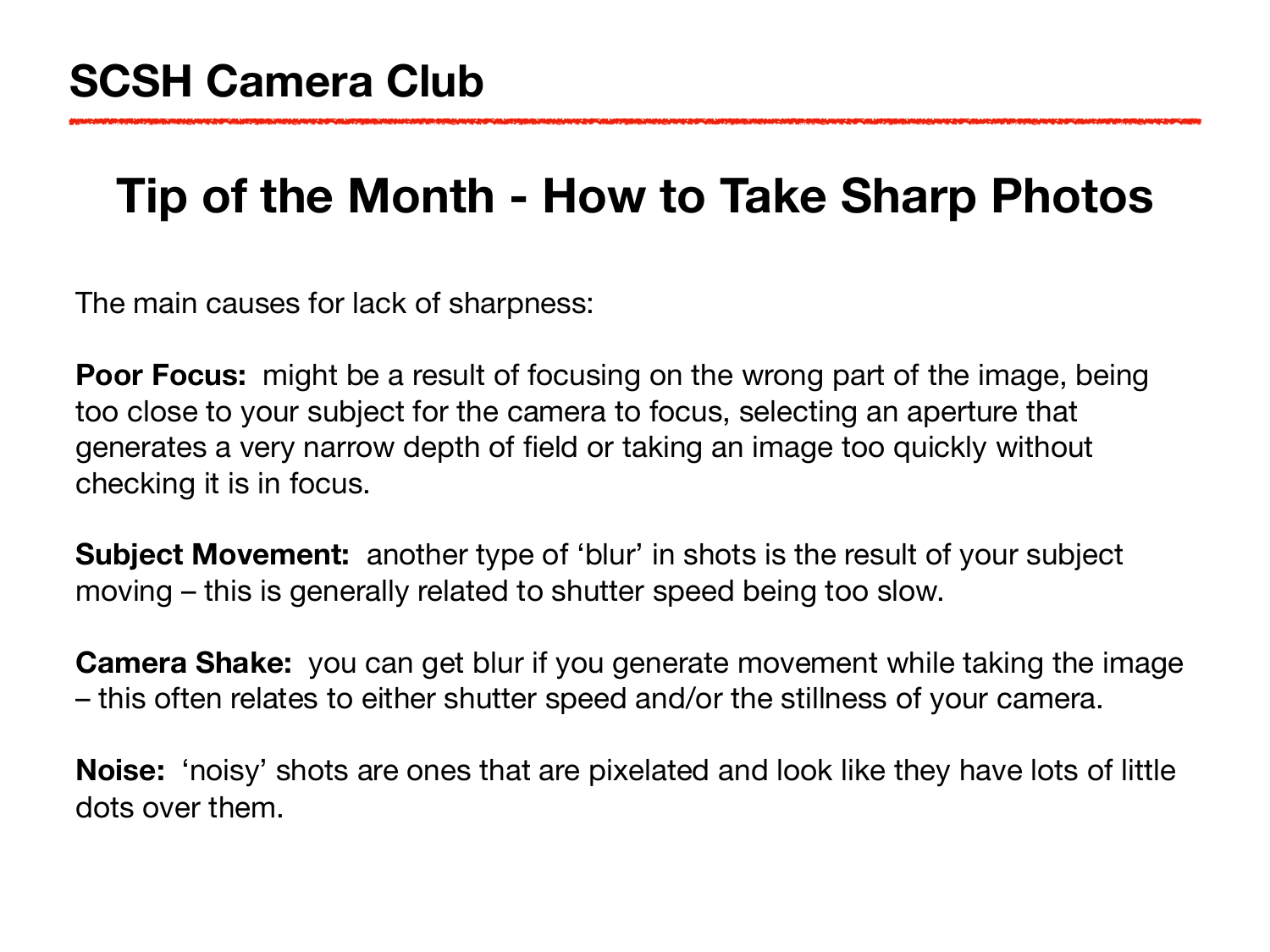## **Tip of the Month - How to Take Sharp Photos**

The main causes for lack of sharpness:

**Poor Focus:** might be a result of focusing on the wrong part of the image, being too close to your subject for the camera to focus, selecting an aperture that generates a very narrow depth of field or taking an image too quickly without checking it is in focus.

**Subject Movement:** another type of 'blur' in shots is the result of your subject moving – this is generally related to shutter speed being too slow.

**Camera Shake:** you can get blur if you generate movement while taking the image – this often relates to either shutter speed and/or the stillness of your camera.

**Noise:** 'noisy' shots are ones that are pixelated and look like they have lots of little dots over them.